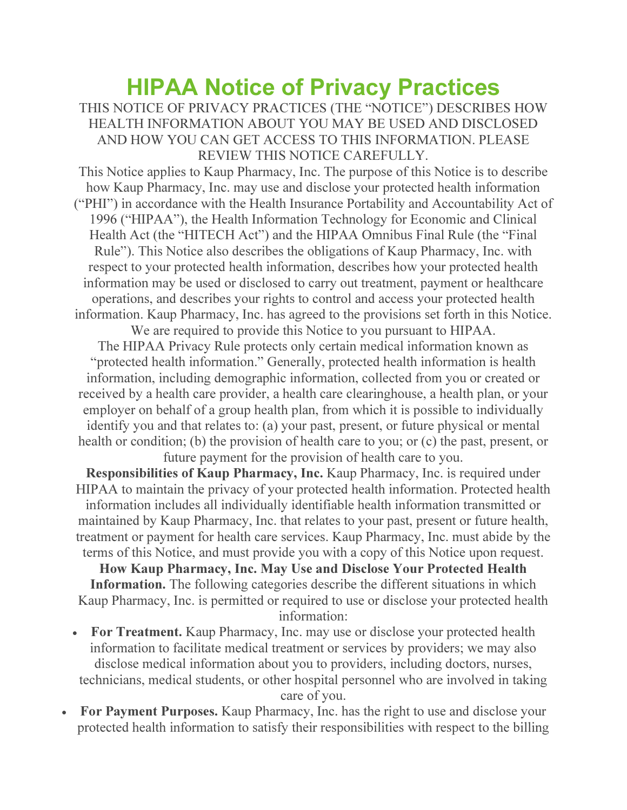## HIPAA Notice of Privacy Practices

THIS NOTICE OF PRIVACY PRACTICES (THE "NOTICE") DESCRIBES HOW HEALTH INFORMATION ABOUT YOU MAY BE USED AND DISCLOSED AND HOW YOU CAN GET ACCESS TO THIS INFORMATION. PLEASE REVIEW THIS NOTICE CAREFULLY.

This Notice applies to Kaup Pharmacy, Inc. The purpose of this Notice is to describe how Kaup Pharmacy, Inc. may use and disclose your protected health information ("PHI") in accordance with the Health Insurance Portability and Accountability Act of 1996 ("HIPAA"), the Health Information Technology for Economic and Clinical Health Act (the "HITECH Act") and the HIPAA Omnibus Final Rule (the "Final Rule"). This Notice also describes the obligations of Kaup Pharmacy, Inc. with respect to your protected health information, describes how your protected health information may be used or disclosed to carry out treatment, payment or healthcare operations, and describes your rights to control and access your protected health information. Kaup Pharmacy, Inc. has agreed to the provisions set forth in this Notice.

We are required to provide this Notice to you pursuant to HIPAA. The HIPAA Privacy Rule protects only certain medical information known as "protected health information." Generally, protected health information is health information, including demographic information, collected from you or created or received by a health care provider, a health care clearinghouse, a health plan, or your employer on behalf of a group health plan, from which it is possible to individually identify you and that relates to: (a) your past, present, or future physical or mental health or condition; (b) the provision of health care to you; or (c) the past, present, or future payment for the provision of health care to you.

Responsibilities of Kaup Pharmacy, Inc. Kaup Pharmacy, Inc. is required under HIPAA to maintain the privacy of your protected health information. Protected health information includes all individually identifiable health information transmitted or maintained by Kaup Pharmacy, Inc. that relates to your past, present or future health, treatment or payment for health care services. Kaup Pharmacy, Inc. must abide by the terms of this Notice, and must provide you with a copy of this Notice upon request.

How Kaup Pharmacy, Inc. May Use and Disclose Your Protected Health Information. The following categories describe the different situations in which Kaup Pharmacy, Inc. is permitted or required to use or disclose your protected health information:

- For Treatment. Kaup Pharmacy, Inc. may use or disclose your protected health information to facilitate medical treatment or services by providers; we may also disclose medical information about you to providers, including doctors, nurses, technicians, medical students, or other hospital personnel who are involved in taking care of you.
- For Payment Purposes. Kaup Pharmacy, Inc. has the right to use and disclose your protected health information to satisfy their responsibilities with respect to the billing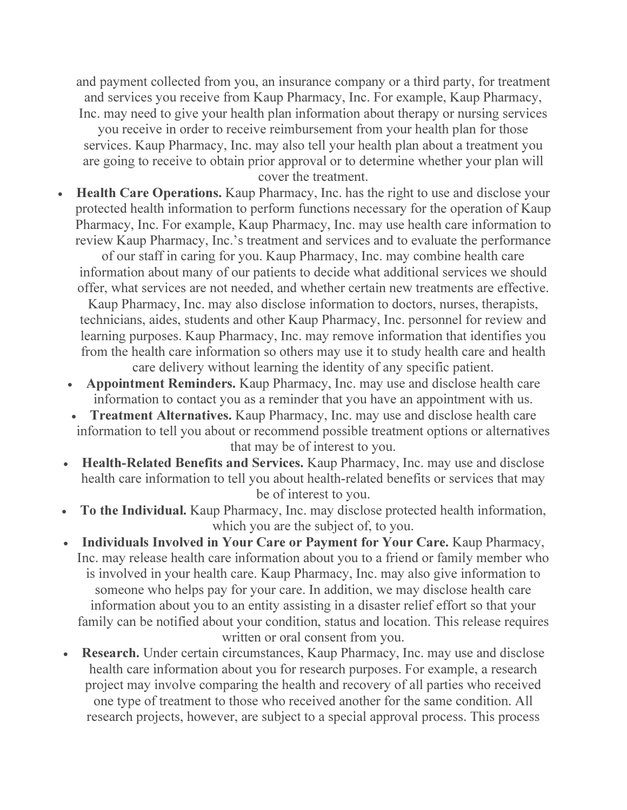and payment collected from you, an insurance company or a third party, for treatment and services you receive from Kaup Pharmacy, Inc. For example, Kaup Pharmacy, Inc. may need to give your health plan information about therapy or nursing services

you receive in order to receive reimbursement from your health plan for those services. Kaup Pharmacy, Inc. may also tell your health plan about a treatment you are going to receive to obtain prior approval or to determine whether your plan will cover the treatment.

 Health Care Operations. Kaup Pharmacy, Inc. has the right to use and disclose your protected health information to perform functions necessary for the operation of Kaup Pharmacy, Inc. For example, Kaup Pharmacy, Inc. may use health care information to review Kaup Pharmacy, Inc.'s treatment and services and to evaluate the performance

of our staff in caring for you. Kaup Pharmacy, Inc. may combine health care information about many of our patients to decide what additional services we should offer, what services are not needed, and whether certain new treatments are effective.

Kaup Pharmacy, Inc. may also disclose information to doctors, nurses, therapists, technicians, aides, students and other Kaup Pharmacy, Inc. personnel for review and learning purposes. Kaup Pharmacy, Inc. may remove information that identifies you from the health care information so others may use it to study health care and health care delivery without learning the identity of any specific patient.

- Appointment Reminders. Kaup Pharmacy, Inc. may use and disclose health care information to contact you as a reminder that you have an appointment with us.
- Treatment Alternatives. Kaup Pharmacy, Inc. may use and disclose health care information to tell you about or recommend possible treatment options or alternatives that may be of interest to you.
- Health-Related Benefits and Services. Kaup Pharmacy, Inc. may use and disclose health care information to tell you about health-related benefits or services that may be of interest to you.
- To the Individual. Kaup Pharmacy, Inc. may disclose protected health information, which you are the subject of, to you.
- Individuals Involved in Your Care or Payment for Your Care. Kaup Pharmacy, Inc. may release health care information about you to a friend or family member who is involved in your health care. Kaup Pharmacy, Inc. may also give information to someone who helps pay for your care. In addition, we may disclose health care information about you to an entity assisting in a disaster relief effort so that your family can be notified about your condition, status and location. This release requires written or oral consent from you.
- Research. Under certain circumstances, Kaup Pharmacy, Inc. may use and disclose health care information about you for research purposes. For example, a research project may involve comparing the health and recovery of all parties who received one type of treatment to those who received another for the same condition. All research projects, however, are subject to a special approval process. This process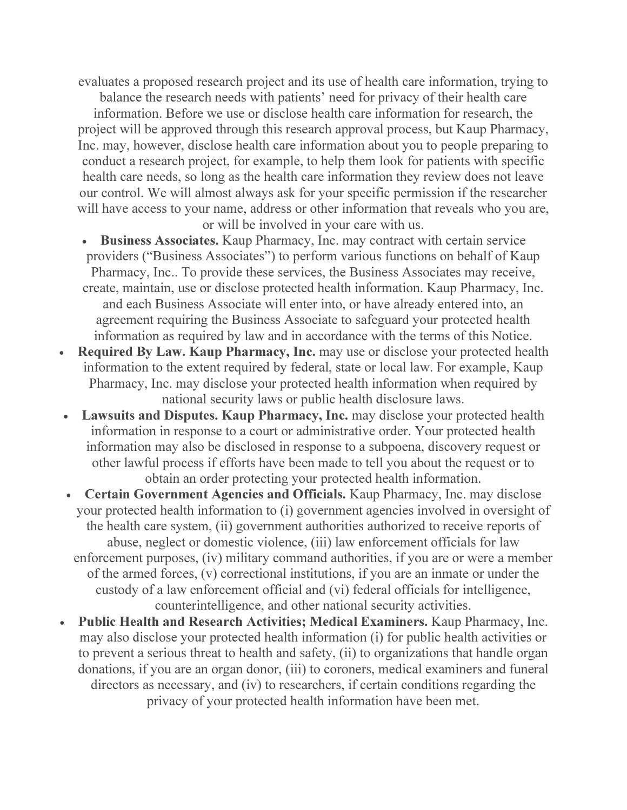evaluates a proposed research project and its use of health care information, trying to

balance the research needs with patients' need for privacy of their health care information. Before we use or disclose health care information for research, the project will be approved through this research approval process, but Kaup Pharmacy, Inc. may, however, disclose health care information about you to people preparing to conduct a research project, for example, to help them look for patients with specific health care needs, so long as the health care information they review does not leave our control. We will almost always ask for your specific permission if the researcher will have access to your name, address or other information that reveals who you are, or will be involved in your care with us.

- Business Associates. Kaup Pharmacy, Inc. may contract with certain service providers ("Business Associates") to perform various functions on behalf of Kaup Pharmacy, Inc.. To provide these services, the Business Associates may receive, create, maintain, use or disclose protected health information. Kaup Pharmacy, Inc. and each Business Associate will enter into, or have already entered into, an agreement requiring the Business Associate to safeguard your protected health information as required by law and in accordance with the terms of this Notice.
- Required By Law. Kaup Pharmacy, Inc. may use or disclose your protected health information to the extent required by federal, state or local law. For example, Kaup Pharmacy, Inc. may disclose your protected health information when required by national security laws or public health disclosure laws.
- Lawsuits and Disputes. Kaup Pharmacy, Inc. may disclose your protected health information in response to a court or administrative order. Your protected health information may also be disclosed in response to a subpoena, discovery request or other lawful process if efforts have been made to tell you about the request or to obtain an order protecting your protected health information.
- Certain Government Agencies and Officials. Kaup Pharmacy, Inc. may disclose your protected health information to (i) government agencies involved in oversight of the health care system, (ii) government authorities authorized to receive reports of abuse, neglect or domestic violence, (iii) law enforcement officials for law enforcement purposes, (iv) military command authorities, if you are or were a member of the armed forces, (v) correctional institutions, if you are an inmate or under the custody of a law enforcement official and (vi) federal officials for intelligence, counterintelligence, and other national security activities.
- Public Health and Research Activities; Medical Examiners. Kaup Pharmacy, Inc. may also disclose your protected health information (i) for public health activities or to prevent a serious threat to health and safety, (ii) to organizations that handle organ donations, if you are an organ donor, (iii) to coroners, medical examiners and funeral directors as necessary, and (iv) to researchers, if certain conditions regarding the privacy of your protected health information have been met.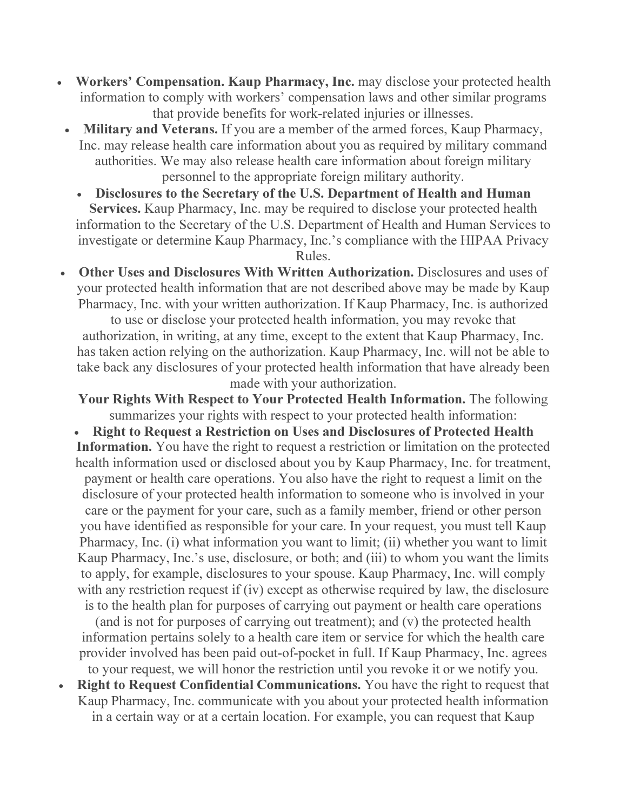- Workers' Compensation. Kaup Pharmacy, Inc. may disclose your protected health information to comply with workers' compensation laws and other similar programs that provide benefits for work-related injuries or illnesses.
- Military and Veterans. If you are a member of the armed forces, Kaup Pharmacy, Inc. may release health care information about you as required by military command authorities. We may also release health care information about foreign military personnel to the appropriate foreign military authority.
	- Disclosures to the Secretary of the U.S. Department of Health and Human Services. Kaup Pharmacy, Inc. may be required to disclose your protected health information to the Secretary of the U.S. Department of Health and Human Services to investigate or determine Kaup Pharmacy, Inc.'s compliance with the HIPAA Privacy Rules.
- Other Uses and Disclosures With Written Authorization. Disclosures and uses of your protected health information that are not described above may be made by Kaup Pharmacy, Inc. with your written authorization. If Kaup Pharmacy, Inc. is authorized

to use or disclose your protected health information, you may revoke that authorization, in writing, at any time, except to the extent that Kaup Pharmacy, Inc. has taken action relying on the authorization. Kaup Pharmacy, Inc. will not be able to take back any disclosures of your protected health information that have already been made with your authorization.

Your Rights With Respect to Your Protected Health Information. The following summarizes your rights with respect to your protected health information:

 Right to Request a Restriction on Uses and Disclosures of Protected Health Information. You have the right to request a restriction or limitation on the protected health information used or disclosed about you by Kaup Pharmacy, Inc. for treatment, payment or health care operations. You also have the right to request a limit on the disclosure of your protected health information to someone who is involved in your care or the payment for your care, such as a family member, friend or other person you have identified as responsible for your care. In your request, you must tell Kaup Pharmacy, Inc. (i) what information you want to limit; (ii) whether you want to limit Kaup Pharmacy, Inc.'s use, disclosure, or both; and (iii) to whom you want the limits to apply, for example, disclosures to your spouse. Kaup Pharmacy, Inc. will comply with any restriction request if (iv) except as otherwise required by law, the disclosure

is to the health plan for purposes of carrying out payment or health care operations (and is not for purposes of carrying out treatment); and (v) the protected health information pertains solely to a health care item or service for which the health care provider involved has been paid out-of-pocket in full. If Kaup Pharmacy, Inc. agrees to your request, we will honor the restriction until you revoke it or we notify you.

• Right to Request Confidential Communications. You have the right to request that Kaup Pharmacy, Inc. communicate with you about your protected health information in a certain way or at a certain location. For example, you can request that Kaup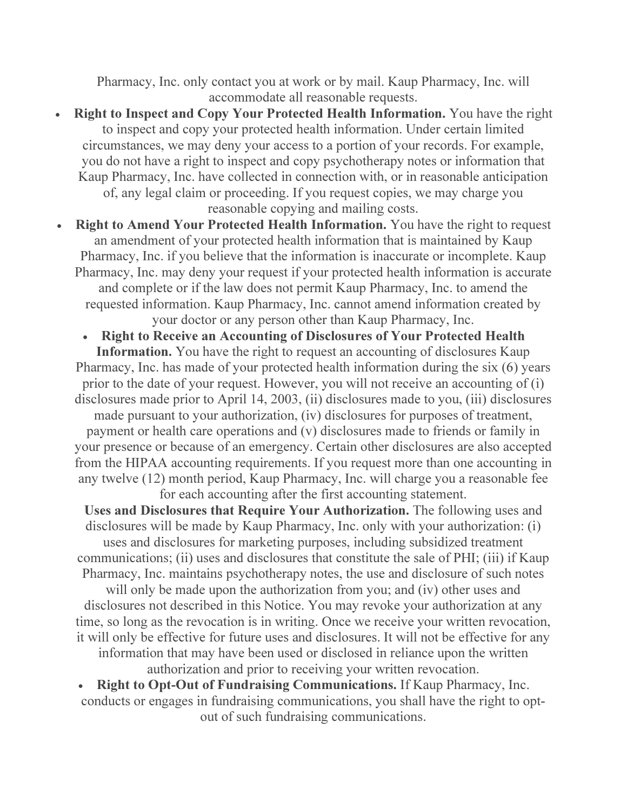Pharmacy, Inc. only contact you at work or by mail. Kaup Pharmacy, Inc. will accommodate all reasonable requests.

 Right to Inspect and Copy Your Protected Health Information. You have the right to inspect and copy your protected health information. Under certain limited circumstances, we may deny your access to a portion of your records. For example, you do not have a right to inspect and copy psychotherapy notes or information that Kaup Pharmacy, Inc. have collected in connection with, or in reasonable anticipation of, any legal claim or proceeding. If you request copies, we may charge you reasonable copying and mailing costs.

 Right to Amend Your Protected Health Information. You have the right to request an amendment of your protected health information that is maintained by Kaup Pharmacy, Inc. if you believe that the information is inaccurate or incomplete. Kaup Pharmacy, Inc. may deny your request if your protected health information is accurate and complete or if the law does not permit Kaup Pharmacy, Inc. to amend the requested information. Kaup Pharmacy, Inc. cannot amend information created by your doctor or any person other than Kaup Pharmacy, Inc.

 Right to Receive an Accounting of Disclosures of Your Protected Health Information. You have the right to request an accounting of disclosures Kaup Pharmacy, Inc. has made of your protected health information during the six (6) years prior to the date of your request. However, you will not receive an accounting of (i) disclosures made prior to April 14, 2003, (ii) disclosures made to you, (iii) disclosures

made pursuant to your authorization, (iv) disclosures for purposes of treatment, payment or health care operations and (v) disclosures made to friends or family in your presence or because of an emergency. Certain other disclosures are also accepted from the HIPAA accounting requirements. If you request more than one accounting in any twelve (12) month period, Kaup Pharmacy, Inc. will charge you a reasonable fee for each accounting after the first accounting statement.

Uses and Disclosures that Require Your Authorization. The following uses and disclosures will be made by Kaup Pharmacy, Inc. only with your authorization: (i) uses and disclosures for marketing purposes, including subsidized treatment communications; (ii) uses and disclosures that constitute the sale of PHI; (iii) if Kaup Pharmacy, Inc. maintains psychotherapy notes, the use and disclosure of such notes

will only be made upon the authorization from you; and (iv) other uses and disclosures not described in this Notice. You may revoke your authorization at any time, so long as the revocation is in writing. Once we receive your written revocation, it will only be effective for future uses and disclosures. It will not be effective for any information that may have been used or disclosed in reliance upon the written

authorization and prior to receiving your written revocation.

• Right to Opt-Out of Fundraising Communications. If Kaup Pharmacy, Inc. conducts or engages in fundraising communications, you shall have the right to optout of such fundraising communications.